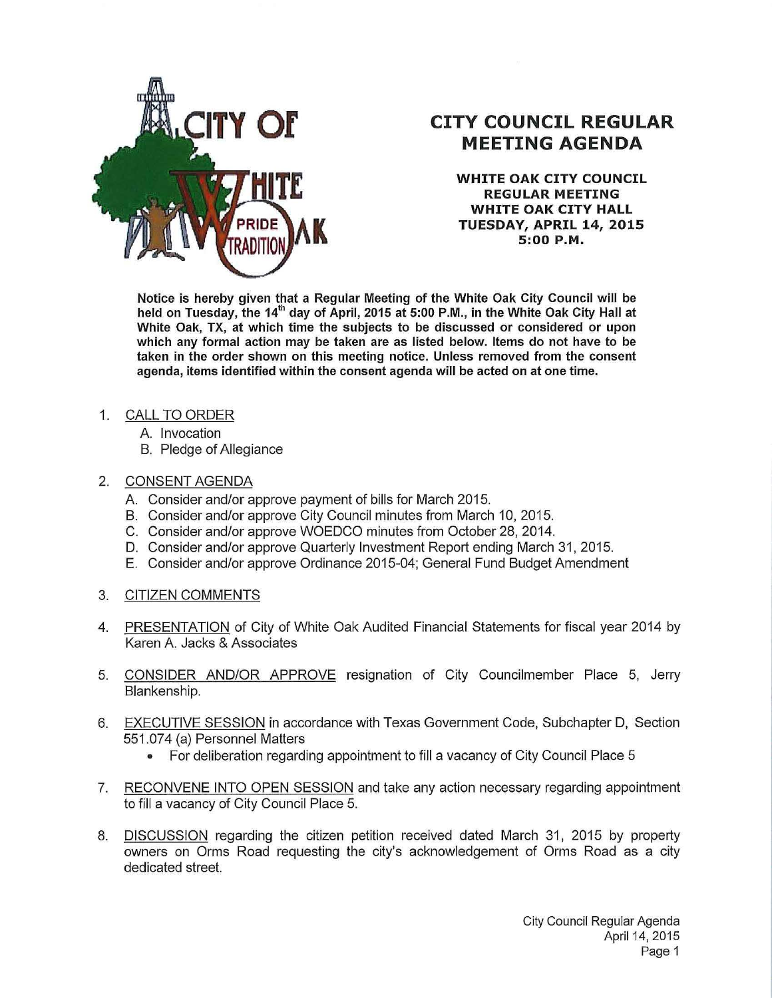

## **CITY COUNCIL REGULAR MEETING AGENDA**

**WHITE OAK CITY COUNCIL REGULAR MEETING WHITE OAK CITY HALL TUESDAY, APRIL 14, 2015 5:00 P.M.** 

**Notice is hereby given that a Regular Meeting of the White Oak City Council will be held on Tuesday, the 14th day of April, 2015 at 5:00 P.M., in the White Oak City Hall at White Oak, TX, at which time the subjects to be discussed or considered or upon which any formal action may be taken are as listed below. Items do not have to be taken in the order shown on this meeting notice. Unless removed from the consent agenda, items identified within the consent agenda will be acted on at one time.** 

- 1. CALL TO ORDER
	- A. Invocation
	- B. Pledge of Allegiance

## 2. CONSENT AGENDA

- A. Consider and/or approve payment of bills for March 2015.
- B. Consider and/or approve City Council minutes from March 10, 2015.
- C. Consider and/or approve WOEDCO minutes from October 28, 2014.
- D. Consider and/or approve Quarterly Investment Report ending March 31, 2015.
- E. Consider and/or approve Ordinance 2015-04; General Fund Budget Amendment
- 3. CITIZEN COMMENTS
- 4. PRESENTATION of City of White Oak Audited Financial Statements for fiscal year 2014 by Karen A. Jacks & Associates
- 5. CONSIDER AND/OR APPROVE resignation of City Councilmember Place 5, Jerry Blankenship.
- 6. EXECUTIVE SESSION in accordance with Texas Government Code, Subchapter D, Section 551.074 (a) Personnel Matters
	- For deliberation regarding appointment to fill a vacancy of City Council Place 5
- 7. RECONVENE INTO OPEN SESSION and take any action necessary regarding appointment to fill a vacancy of City Council Place 5.
- 8. DISCUSSION regarding the citizen petition received dated March 31, 2015 by property owners on Orms Road requesting the city's acknowledgement of Orms Road as a city dedicated street.